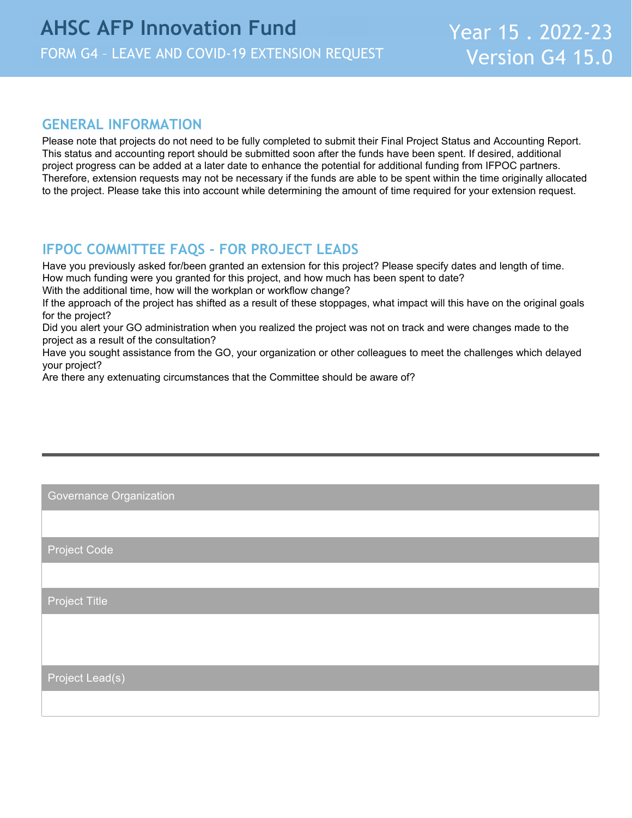## **GENERAL INFORMATION**

Please note that projects do not need to be fully completed to submit their Final Project Status and Accounting Report. This status and accounting report should be submitted soon after the funds have been spent. If desired, additional project progress can be added at a later date to enhance the potential for additional funding from IFPOC partners. Therefore, extension requests may not be necessary if the funds are able to be spent within the time originally allocated to the project. Please take this into account while determining the amount of time required for your extension request.

## **IFPOC COMMITTEE FAQS - FOR PROJECT LEADS**

Have you previously asked for/been granted an extension for this project? Please specify dates and length of time. How much funding were you granted for this project, and how much has been spent to date?

With the additional time, how will the workplan or workflow change?

If the approach of the project has shifted as a result of these stoppages, what impact will this have on the original goals for the project?

Did you alert your GO administration when you realized the project was not on track and were changes made to the project as a result of the consultation?

Have you sought assistance from the GO, your organization or other colleagues to meet the challenges which delayed your project?

Are there any extenuating circumstances that the Committee should be aware of?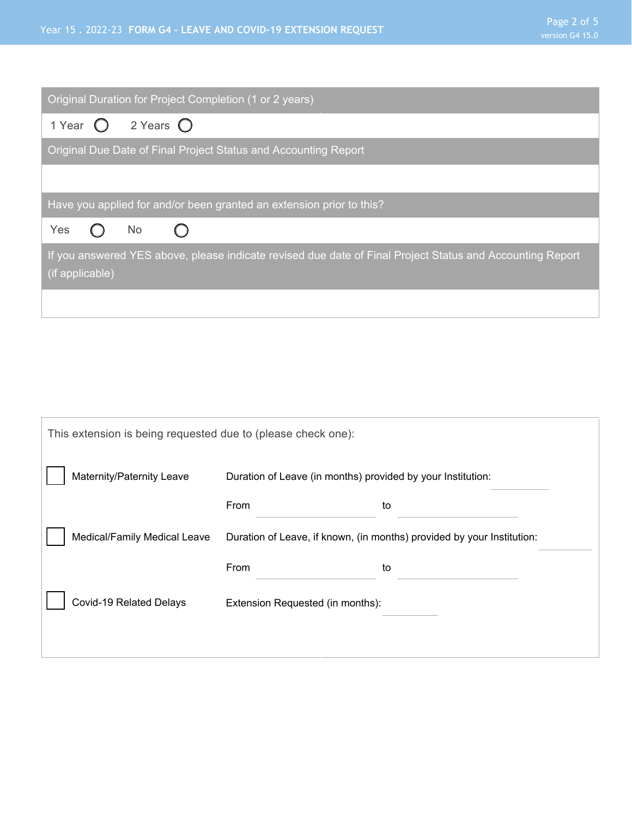| Original Duration for Project Completion (1 or 2 years)                                                                      |
|------------------------------------------------------------------------------------------------------------------------------|
| 2 Years $\bigcirc$<br>1 Year $\bigcirc$                                                                                      |
| Original Due Date of Final Project Status and Accounting Report                                                              |
|                                                                                                                              |
| Have you applied for and/or been granted an extension prior to this?                                                         |
| Yes<br>No.<br>$\left( \begin{array}{c} \end{array} \right)$                                                                  |
| If you answered YES above, please indicate revised due date of Final Project Status and Accounting Report<br>(if applicable) |
|                                                                                                                              |

| This extension is being requested due to (please check one): |                                                                        |    |  |  |
|--------------------------------------------------------------|------------------------------------------------------------------------|----|--|--|
| Maternity/Paternity Leave                                    | Duration of Leave (in months) provided by your Institution:            |    |  |  |
|                                                              | From                                                                   | to |  |  |
| Medical/Family Medical Leave                                 | Duration of Leave, if known, (in months) provided by your Institution: |    |  |  |
|                                                              | From                                                                   | to |  |  |
| Covid-19 Related Delays                                      | Extension Requested (in months):                                       |    |  |  |
|                                                              |                                                                        |    |  |  |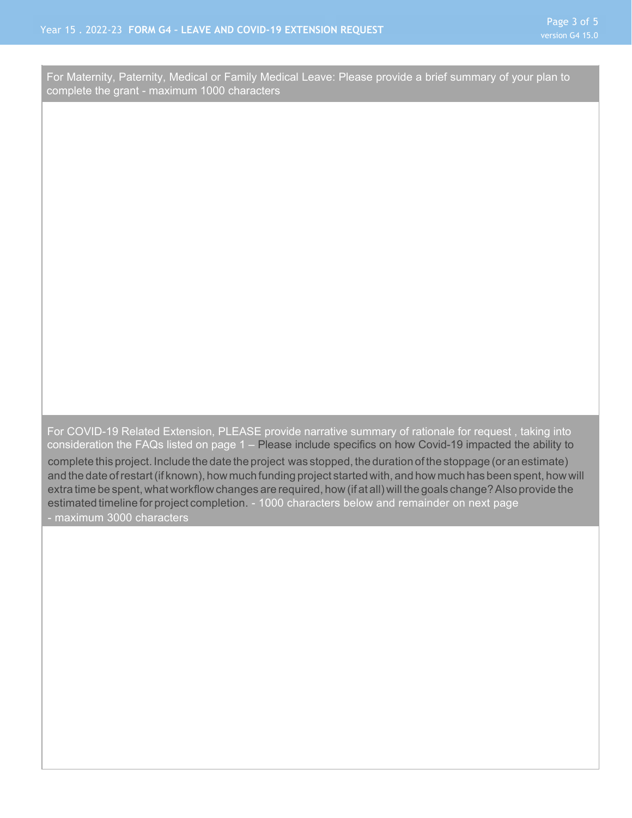For Maternity, Paternity, Medical or Family Medical Leave: Please provide a brief summary of your plan to complete the grant - maximum 1000 characters

consideration the FAQs listed on page 1 – Please include specifics on how Covid-19 impacted the ability to For COVID-19 Related Extension, PLEASE provide narrative summary of rationale for request , taking into

complete this project. Include the date the project was stopped, the duration of the stoppage (or an estimate) and the date of restart (if known), how much funding project started with, and how much has been spent, how will extra time be spent, what workflow changes are required, how (if at all) will the goals change? Also provide the estimated timeline for project completion. - 1000 characters below and remainder on next page - maximum 3000 characters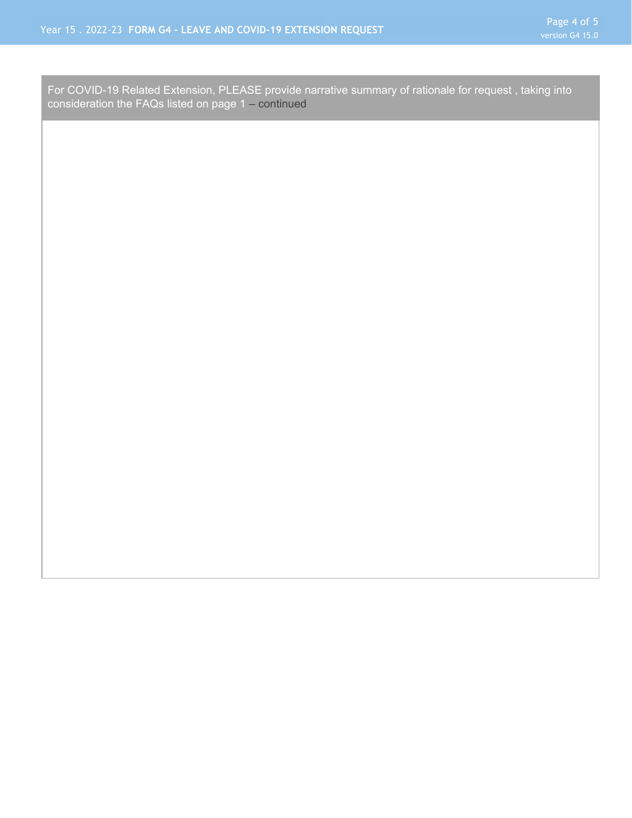consideration the FAQs listed on page 1 – continued For COVID-19 Related Extension, PLEASE provide narrative summary of rationale for request , taking into